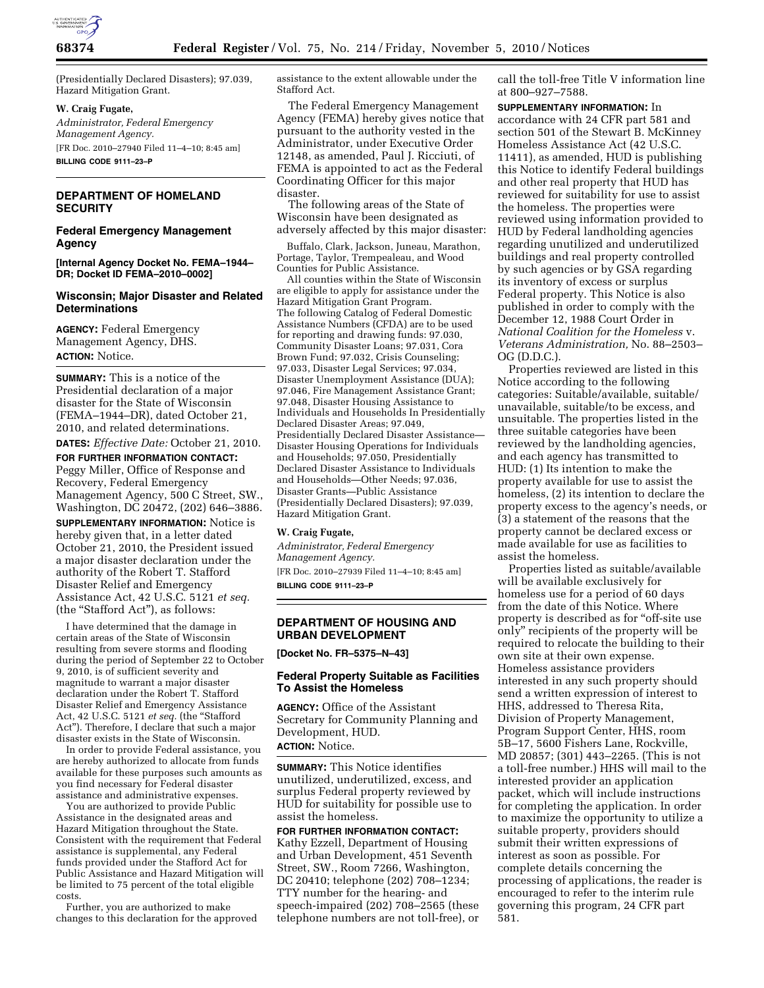

(Presidentially Declared Disasters); 97.039, Hazard Mitigation Grant.

# **W. Craig Fugate,**

*Administrator, Federal Emergency Management Agency.*  [FR Doc. 2010–27940 Filed 11–4–10; 8:45 am] **BILLING CODE 9111–23–P** 

# **DEPARTMENT OF HOMELAND SECURITY**

# **Federal Emergency Management Agency**

**[Internal Agency Docket No. FEMA–1944– DR; Docket ID FEMA–2010–0002]** 

# **Wisconsin; Major Disaster and Related Determinations**

**AGENCY:** Federal Emergency Management Agency, DHS. **ACTION:** Notice.

**SUMMARY:** This is a notice of the Presidential declaration of a major disaster for the State of Wisconsin (FEMA–1944–DR), dated October 21, 2010, and related determinations.

**DATES:** *Effective Date:* October 21, 2010.

**FOR FURTHER INFORMATION CONTACT:**  Peggy Miller, Office of Response and Recovery, Federal Emergency Management Agency, 500 C Street, SW., Washington, DC 20472, (202) 646–3886.

**SUPPLEMENTARY INFORMATION:** Notice is hereby given that, in a letter dated October 21, 2010, the President issued a major disaster declaration under the authority of the Robert T. Stafford Disaster Relief and Emergency Assistance Act, 42 U.S.C. 5121 *et seq.*  (the "Stafford Act"), as follows:

I have determined that the damage in certain areas of the State of Wisconsin resulting from severe storms and flooding during the period of September 22 to October 9, 2010, is of sufficient severity and magnitude to warrant a major disaster declaration under the Robert T. Stafford Disaster Relief and Emergency Assistance Act, 42 U.S.C. 5121 *et seq.* (the ''Stafford Act''). Therefore, I declare that such a major disaster exists in the State of Wisconsin.

In order to provide Federal assistance, you are hereby authorized to allocate from funds available for these purposes such amounts as you find necessary for Federal disaster assistance and administrative expenses.

You are authorized to provide Public Assistance in the designated areas and Hazard Mitigation throughout the State. Consistent with the requirement that Federal assistance is supplemental, any Federal funds provided under the Stafford Act for Public Assistance and Hazard Mitigation will be limited to 75 percent of the total eligible costs.

Further, you are authorized to make changes to this declaration for the approved assistance to the extent allowable under the Stafford Act.

The Federal Emergency Management Agency (FEMA) hereby gives notice that pursuant to the authority vested in the Administrator, under Executive Order 12148, as amended, Paul J. Ricciuti, of FEMA is appointed to act as the Federal Coordinating Officer for this major disaster.

The following areas of the State of Wisconsin have been designated as adversely affected by this major disaster:

Buffalo, Clark, Jackson, Juneau, Marathon, Portage, Taylor, Trempealeau, and Wood Counties for Public Assistance.

All counties within the State of Wisconsin are eligible to apply for assistance under the Hazard Mitigation Grant Program. The following Catalog of Federal Domestic Assistance Numbers (CFDA) are to be used for reporting and drawing funds: 97.030, Community Disaster Loans; 97.031, Cora Brown Fund; 97.032, Crisis Counseling; 97.033, Disaster Legal Services; 97.034, Disaster Unemployment Assistance (DUA); 97.046, Fire Management Assistance Grant; 97.048, Disaster Housing Assistance to Individuals and Households In Presidentially Declared Disaster Areas; 97.049, Presidentially Declared Disaster Assistance— Disaster Housing Operations for Individuals and Households; 97.050, Presidentially Declared Disaster Assistance to Individuals and Households—Other Needs; 97.036, Disaster Grants—Public Assistance (Presidentially Declared Disasters); 97.039, Hazard Mitigation Grant.

## **W. Craig Fugate,**

*Administrator, Federal Emergency Management Agency.*  [FR Doc. 2010–27939 Filed 11–4–10; 8:45 am] **BILLING CODE 9111–23–P** 

# **DEPARTMENT OF HOUSING AND URBAN DEVELOPMENT**

**[Docket No. FR–5375–N–43]** 

# **Federal Property Suitable as Facilities To Assist the Homeless**

**AGENCY:** Office of the Assistant Secretary for Community Planning and Development, HUD.

**ACTION:** Notice.

**SUMMARY:** This Notice identifies unutilized, underutilized, excess, and surplus Federal property reviewed by HUD for suitability for possible use to assist the homeless.

**FOR FURTHER INFORMATION CONTACT:**  Kathy Ezzell, Department of Housing and Urban Development, 451 Seventh Street, SW., Room 7266, Washington, DC 20410; telephone (202) 708–1234; TTY number for the hearing- and speech-impaired (202) 708–2565 (these telephone numbers are not toll-free), or call the toll-free Title V information line at 800–927–7588.

**SUPPLEMENTARY INFORMATION:** In accordance with 24 CFR part 581 and section 501 of the Stewart B. McKinney Homeless Assistance Act (42 U.S.C. 11411), as amended, HUD is publishing this Notice to identify Federal buildings and other real property that HUD has reviewed for suitability for use to assist the homeless. The properties were reviewed using information provided to HUD by Federal landholding agencies regarding unutilized and underutilized buildings and real property controlled by such agencies or by GSA regarding its inventory of excess or surplus Federal property. This Notice is also published in order to comply with the December 12, 1988 Court Order in *National Coalition for the Homeless* v. *Veterans Administration,* No. 88–2503– OG (D.D.C.).

Properties reviewed are listed in this Notice according to the following categories: Suitable/available, suitable/ unavailable, suitable/to be excess, and unsuitable. The properties listed in the three suitable categories have been reviewed by the landholding agencies, and each agency has transmitted to HUD: (1) Its intention to make the property available for use to assist the homeless, (2) its intention to declare the property excess to the agency's needs, or (3) a statement of the reasons that the property cannot be declared excess or made available for use as facilities to assist the homeless.

Properties listed as suitable/available will be available exclusively for homeless use for a period of 60 days from the date of this Notice. Where property is described as for "off-site use only'' recipients of the property will be required to relocate the building to their own site at their own expense. Homeless assistance providers interested in any such property should send a written expression of interest to HHS, addressed to Theresa Rita, Division of Property Management, Program Support Center, HHS, room 5B–17, 5600 Fishers Lane, Rockville, MD 20857; (301) 443–2265. (This is not a toll-free number.) HHS will mail to the interested provider an application packet, which will include instructions for completing the application. In order to maximize the opportunity to utilize a suitable property, providers should submit their written expressions of interest as soon as possible. For complete details concerning the processing of applications, the reader is encouraged to refer to the interim rule governing this program, 24 CFR part 581.